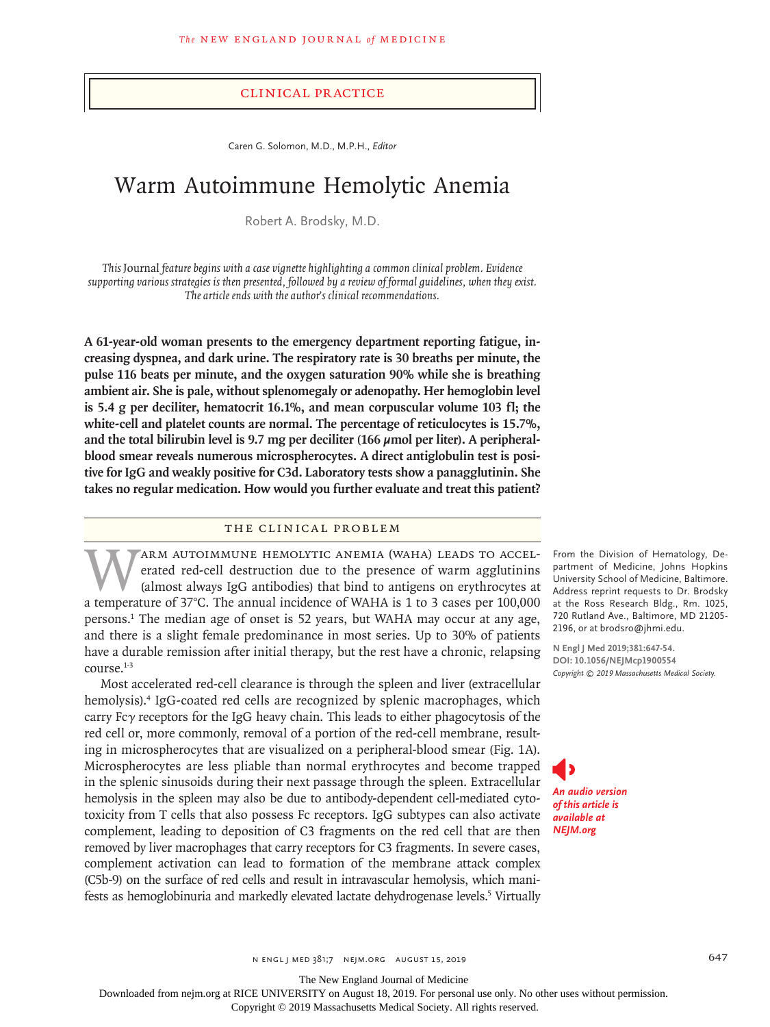## Clinical Practice

Caren G. Solomon, M.D., M.P.H., *Editor*

# Warm Autoimmune Hemolytic Anemia

Robert A. Brodsky, M.D.

*This* Journal *feature begins with a case vignette highlighting a common clinical problem. Evidence supporting various strategies is then presented, followed by a review of formal guidelines, when they exist. The article ends with the author's clinical recommendations.*

**A 61-year-old woman presents to the emergency department reporting fatigue, increasing dyspnea, and dark urine. The respiratory rate is 30 breaths per minute, the pulse 116 beats per minute, and the oxygen saturation 90% while she is breathing ambient air. She is pale, without splenomegaly or adenopathy. Her hemoglobin level is 5.4 g per deciliter, hematocrit 16.1%, and mean corpuscular volume 103 fl; the white-cell and platelet counts are normal. The percentage of reticulocytes is 15.7%, and the total bilirubin level is 9.7 mg per deciliter (166 μmol per liter). A peripheralblood smear reveals numerous microspherocytes. A direct antiglobulin test is positive for IgG and weakly positive for C3d. Laboratory tests show a panagglutinin. She takes no regular medication. How would you further evaluate and treat this patient?**

## The Clinical Problem

WARM AUTOIMMUNE HEMOLYTIC ANEMIA (WAHA) LEADS TO ACCEL-<br>erated red-cell destruction due to the presence of warm agglutinins<br>(almost always IgG antibodies) that bind to antigens on erythrocytes at<br>a temperature of 37°C. The erated red-cell destruction due to the presence of warm agglutinins (almost always IgG antibodies) that bind to antigens on erythrocytes at a temperature of 37°C. The annual incidence of WAHA is 1 to 3 cases per 100,000 persons.1 The median age of onset is 52 years, but WAHA may occur at any age, and there is a slight female predominance in most series. Up to 30% of patients have a durable remission after initial therapy, but the rest have a chronic, relapsing course.1-3

Most accelerated red-cell clearance is through the spleen and liver (extracellular hemolysis).4 IgG-coated red cells are recognized by splenic macrophages, which carry Fcγ receptors for the IgG heavy chain. This leads to either phagocytosis of the red cell or, more commonly, removal of a portion of the red-cell membrane, resulting in microspherocytes that are visualized on a peripheral-blood smear (Fig. 1A). Microspherocytes are less pliable than normal erythrocytes and become trapped in the splenic sinusoids during their next passage through the spleen. Extracellular hemolysis in the spleen may also be due to antibody-dependent cell-mediated cytotoxicity from T cells that also possess Fc receptors. IgG subtypes can also activate complement, leading to deposition of C3 fragments on the red cell that are then removed by liver macrophages that carry receptors for C3 fragments. In severe cases, complement activation can lead to formation of the membrane attack complex (C5b-9) on the surface of red cells and result in intravascular hemolysis, which manifests as hemoglobinuria and markedly elevated lactate dehydrogenase levels.<sup>5</sup> Virtually

From the Division of Hematology, Department of Medicine, Johns Hopkins University School of Medicine, Baltimore. Address reprint requests to Dr. Brodsky at the Ross Research Bldg., Rm. 1025, 720 Rutland Ave., Baltimore, MD 21205- 2196, or at brodsro@jhmi.edu.

**N Engl J Med 2019;381:647-54. DOI: 10.1056/NEJMcp1900554** *Copyright © 2019 Massachusetts Medical Society.*

*An audio version of this article is available at NEJM.org*

n engl j med 381;7 nejm.org August 15, 2019 647

The New England Journal of Medicine

Downloaded from nejm.org at RICE UNIVERSITY on August 18, 2019. For personal use only. No other uses without permission.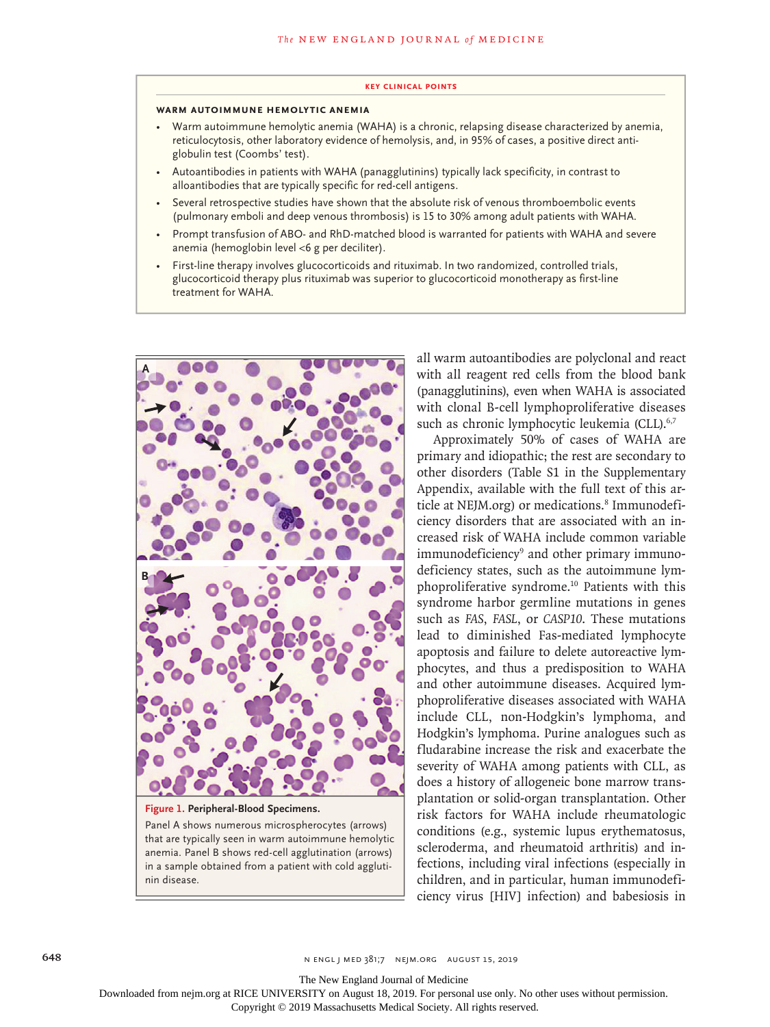#### **Key Clinical Points**

#### **Warm Autoimmune Hemolytic Anemia**

- Warm autoimmune hemolytic anemia (WAHA) is a chronic, relapsing disease characterized by anemia, reticulocytosis, other laboratory evidence of hemolysis, and, in 95% of cases, a positive direct antiglobulin test (Coombs' test).
- Autoantibodies in patients with WAHA (panagglutinins) typically lack specificity, in contrast to alloantibodies that are typically specific for red-cell antigens.
- Several retrospective studies have shown that the absolute risk of venous thromboembolic events (pulmonary emboli and deep venous thrombosis) is 15 to 30% among adult patients with WAHA.
- Prompt transfusion of ABO- and RhD-matched blood is warranted for patients with WAHA and severe anemia (hemoglobin level *<*6 g per deciliter).
- First-line therapy involves glucocorticoids and rituximab. In two randomized, controlled trials, glucocorticoid therapy plus rituximab was superior to glucocorticoid monotherapy as first-line treatment for WAHA.



Panel A shows numerous microspherocytes (arrows) that are typically seen in warm autoimmune hemolytic anemia. Panel B shows red-cell agglutination (arrows) in a sample obtained from a patient with cold agglutinin disease.

all warm autoantibodies are polyclonal and react with all reagent red cells from the blood bank (panagglutinins), even when WAHA is associated with clonal B-cell lymphoproliferative diseases such as chronic lymphocytic leukemia (CLL).<sup>6,7</sup>

Approximately 50% of cases of WAHA are primary and idiopathic; the rest are secondary to other disorders (Table S1 in the Supplementary Appendix, available with the full text of this article at NEJM.org) or medications.<sup>8</sup> Immunodeficiency disorders that are associated with an increased risk of WAHA include common variable immunodeficiency<sup>9</sup> and other primary immunodeficiency states, such as the autoimmune lymphoproliferative syndrome.10 Patients with this syndrome harbor germline mutations in genes such as *FAS*, *FASL*, or *CASP10*. These mutations lead to diminished Fas-mediated lymphocyte apoptosis and failure to delete autoreactive lymphocytes, and thus a predisposition to WAHA and other autoimmune diseases. Acquired lymphoproliferative diseases associated with WAHA include CLL, non-Hodgkin's lymphoma, and Hodgkin's lymphoma. Purine analogues such as fludarabine increase the risk and exacerbate the severity of WAHA among patients with CLL, as does a history of allogeneic bone marrow transplantation or solid-organ transplantation. Other risk factors for WAHA include rheumatologic conditions (e.g., systemic lupus erythematosus, scleroderma, and rheumatoid arthritis) and infections, including viral infections (especially in children, and in particular, human immunodeficiency virus [HIV] infection) and babesiosis in

The New England Journal of Medicine

Downloaded from nejm.org at RICE UNIVERSITY on August 18, 2019. For personal use only. No other uses without permission.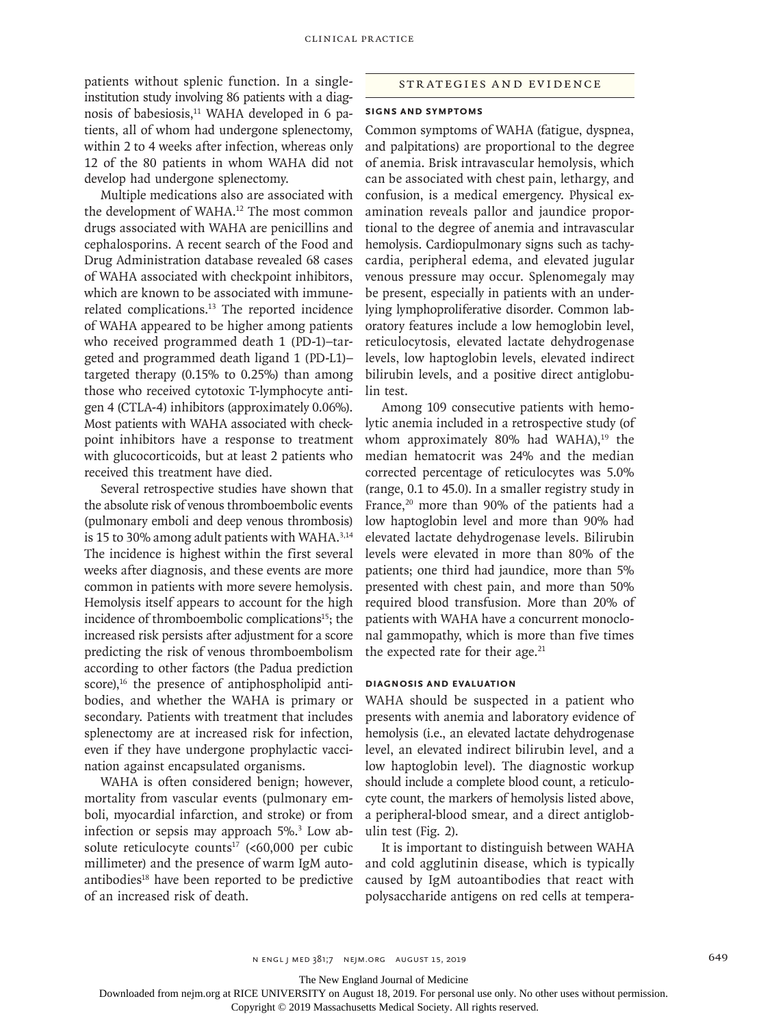patients without splenic function. In a singleinstitution study involving 86 patients with a diagnosis of babesiosis,<sup>11</sup> WAHA developed in 6 patients, all of whom had undergone splenectomy, within 2 to 4 weeks after infection, whereas only 12 of the 80 patients in whom WAHA did not develop had undergone splenectomy.

Multiple medications also are associated with the development of WAHA.<sup>12</sup> The most common drugs associated with WAHA are penicillins and cephalosporins. A recent search of the Food and Drug Administration database revealed 68 cases of WAHA associated with checkpoint inhibitors, which are known to be associated with immunerelated complications.13 The reported incidence of WAHA appeared to be higher among patients who received programmed death 1 (PD-1)-targeted and programmed death ligand 1 (PD-L1)– targeted therapy (0.15% to 0.25%) than among those who received cytotoxic T-lymphocyte antigen 4 (CTLA-4) inhibitors (approximately 0.06%). Most patients with WAHA associated with checkpoint inhibitors have a response to treatment with glucocorticoids, but at least 2 patients who received this treatment have died.

Several retrospective studies have shown that the absolute risk of venous thromboembolic events (pulmonary emboli and deep venous thrombosis) is 15 to 30% among adult patients with WAHA.<sup>3,14</sup> The incidence is highest within the first several weeks after diagnosis, and these events are more common in patients with more severe hemolysis. Hemolysis itself appears to account for the high incidence of thromboembolic complications<sup>15</sup>; the increased risk persists after adjustment for a score predicting the risk of venous thromboembolism according to other factors (the Padua prediction score), $16$  the presence of antiphospholipid antibodies, and whether the WAHA is primary or secondary. Patients with treatment that includes splenectomy are at increased risk for infection, even if they have undergone prophylactic vaccination against encapsulated organisms.

WAHA is often considered benign; however, mortality from vascular events (pulmonary emboli, myocardial infarction, and stroke) or from infection or sepsis may approach 5%.3 Low absolute reticulocyte counts<sup>17</sup> (<60,000 per cubic millimeter) and the presence of warm IgM autoantibodies $18$  have been reported to be predictive of an increased risk of death.

## Strategies and Evidence

## **Signs and Symptoms**

Common symptoms of WAHA (fatigue, dyspnea, and palpitations) are proportional to the degree of anemia. Brisk intravascular hemolysis, which can be associated with chest pain, lethargy, and confusion, is a medical emergency. Physical examination reveals pallor and jaundice proportional to the degree of anemia and intravascular hemolysis. Cardiopulmonary signs such as tachycardia, peripheral edema, and elevated jugular venous pressure may occur. Splenomegaly may be present, especially in patients with an underlying lymphoproliferative disorder. Common laboratory features include a low hemoglobin level, reticulocytosis, elevated lactate dehydrogenase levels, low haptoglobin levels, elevated indirect bilirubin levels, and a positive direct antiglobulin test.

Among 109 consecutive patients with hemolytic anemia included in a retrospective study (of whom approximately 80% had WAHA), $19$  the median hematocrit was 24% and the median corrected percentage of reticulocytes was 5.0% (range, 0.1 to 45.0). In a smaller registry study in France,<sup>20</sup> more than 90% of the patients had a low haptoglobin level and more than 90% had elevated lactate dehydrogenase levels. Bilirubin levels were elevated in more than 80% of the patients; one third had jaundice, more than 5% presented with chest pain, and more than 50% required blood transfusion. More than 20% of patients with WAHA have a concurrent monoclonal gammopathy, which is more than five times the expected rate for their age. $^{21}$ 

## **Diagnosis and Evaluation**

WAHA should be suspected in a patient who presents with anemia and laboratory evidence of hemolysis (i.e., an elevated lactate dehydrogenase level, an elevated indirect bilirubin level, and a low haptoglobin level). The diagnostic workup should include a complete blood count, a reticulocyte count, the markers of hemolysis listed above, a peripheral-blood smear, and a direct antiglobulin test (Fig. 2).

It is important to distinguish between WAHA and cold agglutinin disease, which is typically caused by IgM autoantibodies that react with polysaccharide antigens on red cells at tempera-

The New England Journal of Medicine

Downloaded from nejm.org at RICE UNIVERSITY on August 18, 2019. For personal use only. No other uses without permission.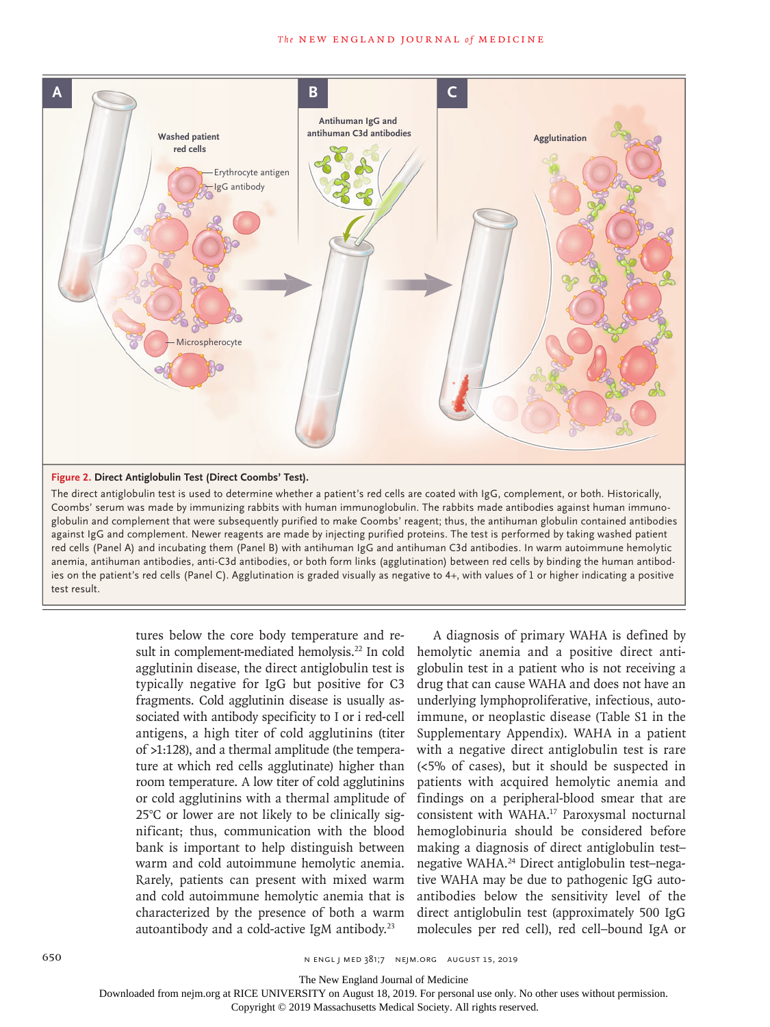

#### **Figure 2. Direct Antiglobulin Test (Direct Coombs' Test).**

The direct antiglobulin test is used to determine whether a patient's red cells are coated with IgG, complement, or both. Historically, Coombs' serum was made by immunizing rabbits with human immunoglobulin. The rabbits made antibodies against human immunoglobulin and complement that were subsequently purified to make Coombs' reagent; thus, the antihuman globulin contained antibodies against IgG and complement. Newer reagents are made by injecting purified proteins. The test is performed by taking washed patient red cells (Panel A) and incubating them (Panel B) with antihuman IgG and antihuman C3d antibodies. In warm autoimmune hemolytic anemia, antihuman antibodies, anti-C3d antibodies, or both form links (agglutination) between red cells by binding the human antibodies on the patient's red cells (Panel C). Agglutination is graded visually as negative to 4+, with values of 1 or higher indicating a positive test result.

> tures below the core body temperature and result in complement-mediated hemolysis.<sup>22</sup> In cold agglutinin disease, the direct antiglobulin test is typically negative for IgG but positive for C3 fragments. Cold agglutinin disease is usually associated with antibody specificity to I or i red-cell antigens, a high titer of cold agglutinins (titer of >1:128), and a thermal amplitude (the temperature at which red cells agglutinate) higher than room temperature. A low titer of cold agglutinins or cold agglutinins with a thermal amplitude of 25°C or lower are not likely to be clinically significant; thus, communication with the blood bank is important to help distinguish between warm and cold autoimmune hemolytic anemia. Rarely, patients can present with mixed warm and cold autoimmune hemolytic anemia that is characterized by the presence of both a warm autoantibody and a cold-active IgM antibody.23

A diagnosis of primary WAHA is defined by hemolytic anemia and a positive direct antiglobulin test in a patient who is not receiving a drug that can cause WAHA and does not have an underlying lymphoproliferative, infectious, autoimmune, or neoplastic disease (Table S1 in the Supplementary Appendix). WAHA in a patient with a negative direct antiglobulin test is rare (<5% of cases), but it should be suspected in patients with acquired hemolytic anemia and findings on a peripheral-blood smear that are consistent with WAHA.17 Paroxysmal nocturnal hemoglobinuria should be considered before making a diagnosis of direct antiglobulin test– negative WAHA.24 Direct antiglobulin test–negative WAHA may be due to pathogenic IgG autoantibodies below the sensitivity level of the direct antiglobulin test (approximately 500 IgG molecules per red cell), red cell–bound IgA or

650 n engl j med 381;7 nejm.org August 15, 2019

The New England Journal of Medicine

Downloaded from nejm.org at RICE UNIVERSITY on August 18, 2019. For personal use only. No other uses without permission.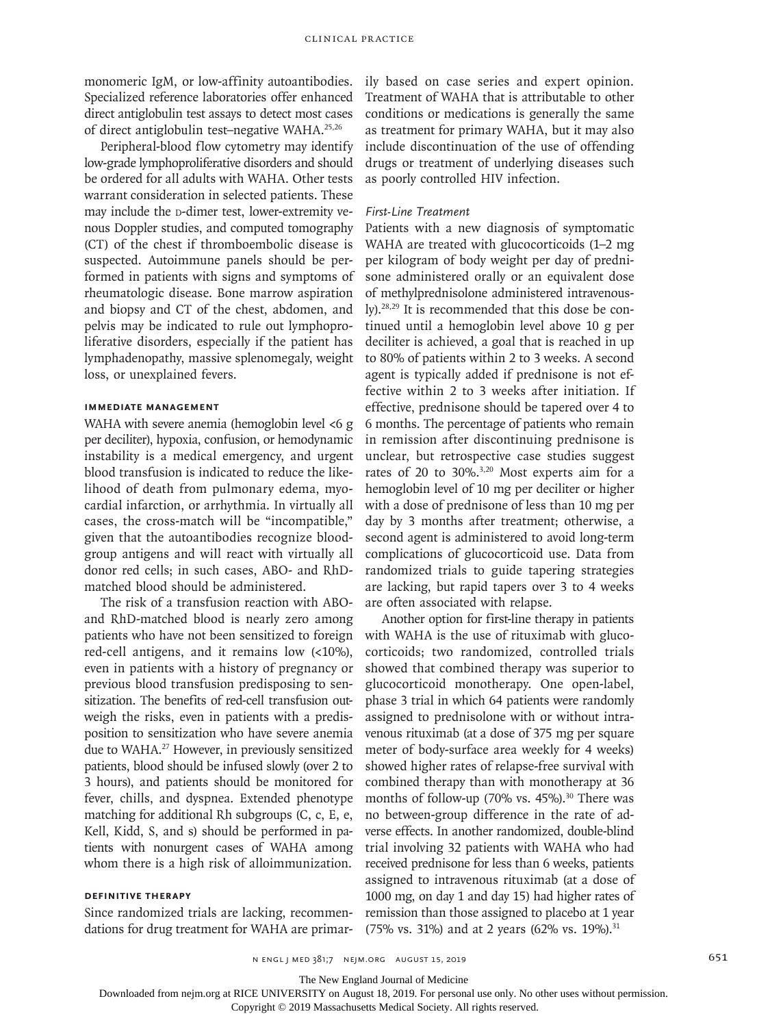monomeric IgM, or low-affinity autoantibodies. Specialized reference laboratories offer enhanced direct antiglobulin test assays to detect most cases of direct antiglobulin test–negative WAHA.25,26

Peripheral-blood flow cytometry may identify low-grade lymphoproliferative disorders and should be ordered for all adults with WAHA. Other tests warrant consideration in selected patients. These may include the p-dimer test, lower-extremity venous Doppler studies, and computed tomography (CT) of the chest if thromboembolic disease is suspected. Autoimmune panels should be performed in patients with signs and symptoms of rheumatologic disease. Bone marrow aspiration and biopsy and CT of the chest, abdomen, and pelvis may be indicated to rule out lymphoproliferative disorders, especially if the patient has lymphadenopathy, massive splenomegaly, weight loss, or unexplained fevers.

## **Immediate Management**

WAHA with severe anemia (hemoglobin level <6 g per deciliter), hypoxia, confusion, or hemodynamic instability is a medical emergency, and urgent blood transfusion is indicated to reduce the likelihood of death from pulmonary edema, myocardial infarction, or arrhythmia. In virtually all cases, the cross-match will be "incompatible," given that the autoantibodies recognize bloodgroup antigens and will react with virtually all donor red cells; in such cases, ABO- and RhDmatched blood should be administered.

The risk of a transfusion reaction with ABOand RhD-matched blood is nearly zero among patients who have not been sensitized to foreign red-cell antigens, and it remains low (<10%), even in patients with a history of pregnancy or previous blood transfusion predisposing to sensitization. The benefits of red-cell transfusion outweigh the risks, even in patients with a predisposition to sensitization who have severe anemia due to WAHA.27 However, in previously sensitized patients, blood should be infused slowly (over 2 to 3 hours), and patients should be monitored for fever, chills, and dyspnea. Extended phenotype matching for additional Rh subgroups (C, c, E, e, Kell, Kidd, S, and s) should be performed in patients with nonurgent cases of WAHA among whom there is a high risk of alloimmunization.

# **Definitive Therapy**

Since randomized trials are lacking, recommendations for drug treatment for WAHA are primarily based on case series and expert opinion. Treatment of WAHA that is attributable to other conditions or medications is generally the same as treatment for primary WAHA, but it may also include discontinuation of the use of offending drugs or treatment of underlying diseases such as poorly controlled HIV infection.

## *First-Line Treatment*

Patients with a new diagnosis of symptomatic WAHA are treated with glucocorticoids (1-2 mg per kilogram of body weight per day of prednisone administered orally or an equivalent dose of methylprednisolone administered intravenously).28,29 It is recommended that this dose be continued until a hemoglobin level above 10 g per deciliter is achieved, a goal that is reached in up to 80% of patients within 2 to 3 weeks. A second agent is typically added if prednisone is not effective within 2 to 3 weeks after initiation. If effective, prednisone should be tapered over 4 to 6 months. The percentage of patients who remain in remission after discontinuing prednisone is unclear, but retrospective case studies suggest rates of 20 to 30%.3,20 Most experts aim for a hemoglobin level of 10 mg per deciliter or higher with a dose of prednisone of less than 10 mg per day by 3 months after treatment; otherwise, a second agent is administered to avoid long-term complications of glucocorticoid use. Data from randomized trials to guide tapering strategies are lacking, but rapid tapers over 3 to 4 weeks are often associated with relapse.

Another option for first-line therapy in patients with WAHA is the use of rituximab with glucocorticoids; two randomized, controlled trials showed that combined therapy was superior to glucocorticoid monotherapy. One open-label, phase 3 trial in which 64 patients were randomly assigned to prednisolone with or without intravenous rituximab (at a dose of 375 mg per square meter of body-surface area weekly for 4 weeks) showed higher rates of relapse-free survival with combined therapy than with monotherapy at 36 months of follow-up (70% vs. 45%).<sup>30</sup> There was no between-group difference in the rate of adverse effects. In another randomized, double-blind trial involving 32 patients with WAHA who had received prednisone for less than 6 weeks, patients assigned to intravenous rituximab (at a dose of 1000 mg, on day 1 and day 15) had higher rates of remission than those assigned to placebo at 1 year (75% vs. 31%) and at 2 years (62% vs. 19%).<sup>31</sup>

The New England Journal of Medicine

Downloaded from nejm.org at RICE UNIVERSITY on August 18, 2019. For personal use only. No other uses without permission.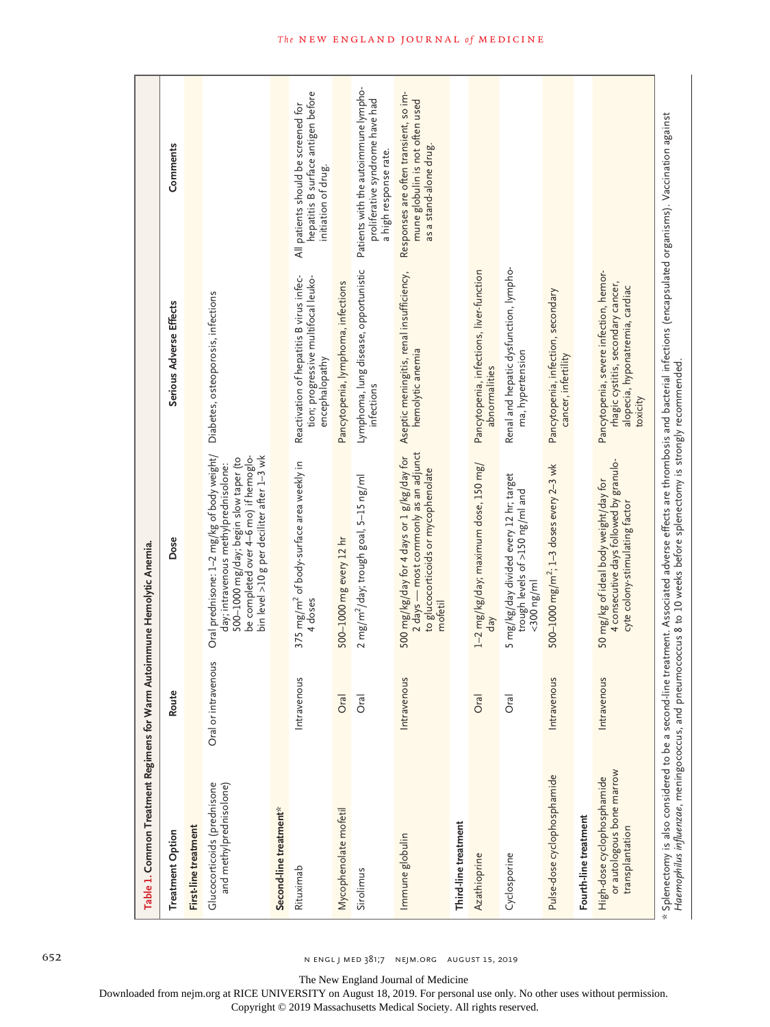| Table 1. Common Treatment Regimens for Warm Autoimmune Hemolytic Anemia.   |                     |                                                                                                                                                                                                                                                                                                       |                                                                                                                             |                                                                                                   |
|----------------------------------------------------------------------------|---------------------|-------------------------------------------------------------------------------------------------------------------------------------------------------------------------------------------------------------------------------------------------------------------------------------------------------|-----------------------------------------------------------------------------------------------------------------------------|---------------------------------------------------------------------------------------------------|
| <b>Treatment Option</b>                                                    | Route               | Dose                                                                                                                                                                                                                                                                                                  | Serious Adverse Effects                                                                                                     | Comments                                                                                          |
| First-line treatment                                                       |                     |                                                                                                                                                                                                                                                                                                       |                                                                                                                             |                                                                                                   |
| Glucocorticoids (prednisone<br>and methylprednisolone)                     | Oral or intravenous | Oral prednisone: 1–2 mg/kg of body weight/<br>day; intravenous methylprednisolone:<br>be completed over 4-6 mo) if hemoglo-<br>bin level >10 g per deciliter after 1–3 wk<br>500-1000 mg/day; begin slow taper (to                                                                                    | Diabetes, osteoporosis, infections                                                                                          |                                                                                                   |
| Second-line treatment*                                                     |                     |                                                                                                                                                                                                                                                                                                       |                                                                                                                             |                                                                                                   |
| Rituximab                                                                  | Intravenous         | 375 mg/m <sup>2</sup> of body-surface area weekly in<br>4 doses                                                                                                                                                                                                                                       | Reactivation of hepatitis B virus infec-<br>tion; progressive multifocal leuko-<br>encephalopathy                           | hepatitis B surface antigen before<br>All patients should be screened for<br>initiation of drug.  |
| Mycophenolate mofetil                                                      | Oral                | 500-1000 mg every 12 hr                                                                                                                                                                                                                                                                               | Pancytopenia, lymphoma, infections                                                                                          |                                                                                                   |
| Sirolimus                                                                  | Oral                | 2 mg/m <sup>2</sup> /day; trough goal, 5–15 ng/ml                                                                                                                                                                                                                                                     | Lymphoma, lung disease, opportunistic<br>infections                                                                         | Patients with the autoimmune lympho-<br>proliferative syndrome have had<br>a high response rate.  |
| Immune globulin                                                            | Intravenous         | 2 days - most commonly as an adjunct<br>500 mg/kg/day for 4 days or 1 g/kg/day for<br>to glucocorticoids or mycophenolate<br>mofetil                                                                                                                                                                  | Aseptic meningitis, renal insufficiency,<br>hemolytic anemia                                                                | Responses are often transient, so im-<br>mune globulin is not often used<br>as a stand-alone drug |
| Third-line treatment                                                       |                     |                                                                                                                                                                                                                                                                                                       |                                                                                                                             |                                                                                                   |
| Azathioprine                                                               | Oral                | $1-2$ mg/kg/day; maximum dose, 150 mg/<br>$d$ a $\gamma$                                                                                                                                                                                                                                              | Pancytopenia, infections, liver-function<br>abnormalities                                                                   |                                                                                                   |
| Cyclosporine                                                               | Oral                | 5 mg/kg/day divided every 12 hr; target<br>trough levels of >150 ng/ml and<br>$<$ 300 ng/ml                                                                                                                                                                                                           | Renal and hepatic dysfunction, lympho-<br>ma, hypertension                                                                  |                                                                                                   |
| Pulse-dose cyclophosphamide                                                | Intravenous         | 500-1000 mg/m <sup>2</sup> ; 1-3 doses every 2-3 wk                                                                                                                                                                                                                                                   | Pancytopenia, infection, secondary<br>cancer, infertility                                                                   |                                                                                                   |
| Fourth-line treatment                                                      |                     |                                                                                                                                                                                                                                                                                                       |                                                                                                                             |                                                                                                   |
| or autologous bone marrow<br>High-dose cyclophosphamide<br>transplantation | Intravenous         | 4 consecutive days followed by granulo-<br>50 mg/kg of ideal body weight/day for<br>cyte colony-stimulating factor                                                                                                                                                                                    | Pancytopenia, severe infection, hemor-<br>rhagic cystitis, secondary cancer,<br>alopecia, hyponatremia, cardiac<br>toxicity |                                                                                                   |
|                                                                            |                     | * Splenectomy is also considered to be a second-line treatment. Associated adverse effects are thrombosis and bacterial infections (encapsulated organisms). Vaccination against<br>Haemophilus influenzae, meningococcus, and pneumococcus 8 to 10 weeks before splenectomy is strongly recommended. |                                                                                                                             |                                                                                                   |

652 n engl j med 381;7 nejm.org August 15, 2019

The New England Journal of Medicine

Downloaded from nejm.org at RICE UNIVERSITY on August 18, 2019. For personal use only. No other uses without permission.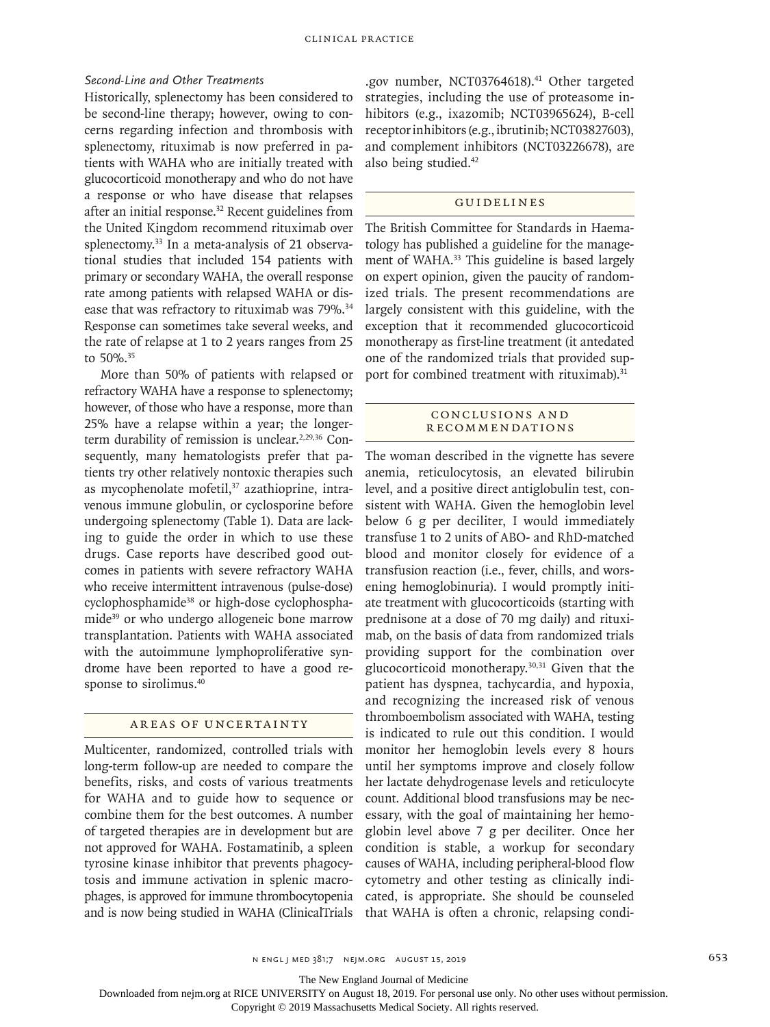## *Second-Line and Other Treatments*

Historically, splenectomy has been considered to be second-line therapy; however, owing to concerns regarding infection and thrombosis with splenectomy, rituximab is now preferred in patients with WAHA who are initially treated with glucocorticoid monotherapy and who do not have a response or who have disease that relapses after an initial response.<sup>32</sup> Recent guidelines from the United Kingdom recommend rituximab over splenectomy.33 In a meta-analysis of 21 observational studies that included 154 patients with primary or secondary WAHA, the overall response rate among patients with relapsed WAHA or disease that was refractory to rituximab was 79%.<sup>34</sup> Response can sometimes take several weeks, and the rate of relapse at 1 to 2 years ranges from 25 to 50%.35

More than 50% of patients with relapsed or refractory WAHA have a response to splenectomy; however, of those who have a response, more than 25% have a relapse within a year; the longerterm durability of remission is unclear.<sup>2,29,36</sup> Consequently, many hematologists prefer that patients try other relatively nontoxic therapies such as mycophenolate mofetil,<sup>37</sup> azathioprine, intravenous immune globulin, or cyclosporine before undergoing splenectomy (Table 1). Data are lacking to guide the order in which to use these drugs. Case reports have described good outcomes in patients with severe refractory WAHA who receive intermittent intravenous (pulse-dose) cyclophosphamide<sup>38</sup> or high-dose cyclophosphamide<sup>39</sup> or who undergo allogeneic bone marrow transplantation. Patients with WAHA associated with the autoimmune lymphoproliferative syndrome have been reported to have a good response to sirolimus.<sup>40</sup>

## Areas of Uncertainty

Multicenter, randomized, controlled trials with long-term follow-up are needed to compare the benefits, risks, and costs of various treatments for WAHA and to guide how to sequence or combine them for the best outcomes. A number of targeted therapies are in development but are not approved for WAHA. Fostamatinib, a spleen tyrosine kinase inhibitor that prevents phagocytosis and immune activation in splenic macrophages, is approved for immune thrombocytopenia and is now being studied in WAHA (ClinicalTrials

.gov number, NCT03764618).<sup>41</sup> Other targeted strategies, including the use of proteasome inhibitors (e.g., ixazomib; NCT03965624), B-cell receptor inhibitors (e.g., ibrutinib; NCT03827603), and complement inhibitors (NCT03226678), are also being studied.42

## Guidelines

The British Committee for Standards in Haematology has published a guideline for the management of WAHA.<sup>33</sup> This guideline is based largely on expert opinion, given the paucity of randomized trials. The present recommendations are largely consistent with this guideline, with the exception that it recommended glucocorticoid monotherapy as first-line treatment (it antedated one of the randomized trials that provided support for combined treatment with rituximab).<sup>31</sup>

## CONCLUSIONS AND **RECOMMENDATIONS**

The woman described in the vignette has severe anemia, reticulocytosis, an elevated bilirubin level, and a positive direct antiglobulin test, consistent with WAHA. Given the hemoglobin level below 6 g per deciliter, I would immediately transfuse 1 to 2 units of ABO- and RhD-matched blood and monitor closely for evidence of a transfusion reaction (i.e., fever, chills, and worsening hemoglobinuria). I would promptly initiate treatment with glucocorticoids (starting with prednisone at a dose of 70 mg daily) and rituximab, on the basis of data from randomized trials providing support for the combination over glucocorticoid monotherapy.30,31 Given that the patient has dyspnea, tachycardia, and hypoxia, and recognizing the increased risk of venous thromboembolism associated with WAHA, testing is indicated to rule out this condition. I would monitor her hemoglobin levels every 8 hours until her symptoms improve and closely follow her lactate dehydrogenase levels and reticulocyte count. Additional blood transfusions may be necessary, with the goal of maintaining her hemoglobin level above 7 g per deciliter. Once her condition is stable, a workup for secondary causes of WAHA, including peripheral-blood flow cytometry and other testing as clinically indicated, is appropriate. She should be counseled that WAHA is often a chronic, relapsing condi-

The New England Journal of Medicine

Downloaded from nejm.org at RICE UNIVERSITY on August 18, 2019. For personal use only. No other uses without permission.